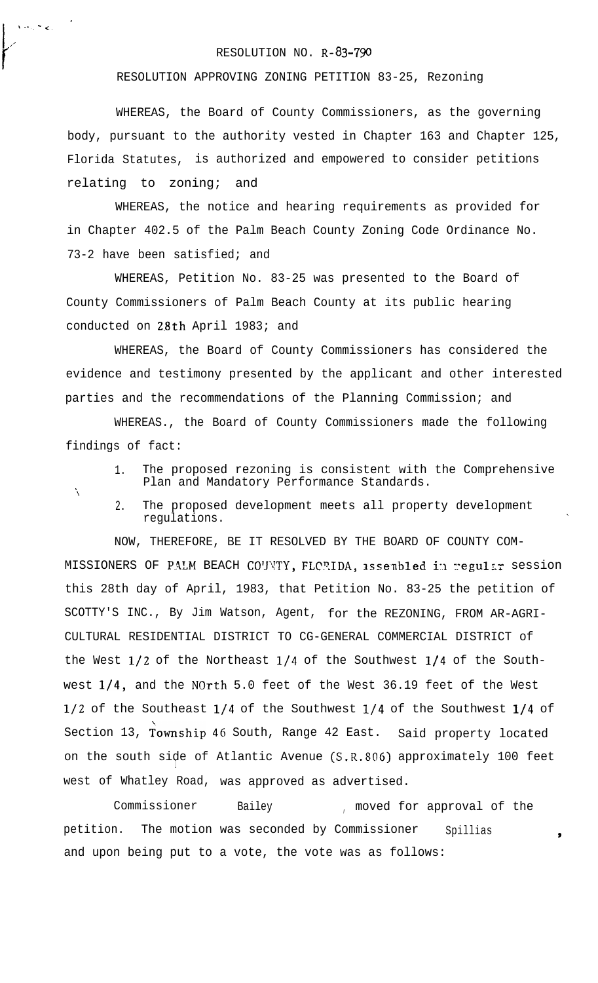## RESOLUTION NO. R-83-790

RESOLUTION APPROVING ZONING PETITION 83-25, Rezoning

WHEREAS, the Board of County Commissioners, as the governing body, pursuant to the authority vested in Chapter 163 and Chapter 125, Florida Statutes, is authorized and empowered to consider petitions relating to zoning; and

WHEREAS, the notice and hearing requirements as provided for in Chapter 402.5 of the Palm Beach County Zoning Code Ordinance No. 73-2 have been satisfied; and

WHEREAS, Petition No. 83-25 was presented to the Board of County Commissioners of Palm Beach County at its public hearing conducted on 28th April 1983; and

WHEREAS, the Board of County Commissioners has considered the evidence and testimony presented by the applicant and other interested parties and the recommendations of the Planning Commission; and

WHEREAS., the Board of County Commissioners made the following findings of fact:

1. The proposed rezoning is consistent with the Comprehensive Plan and Mandatory Performance Standards.

'\

.

, ... , ... , ... , ... , ... , ... , ... , ... , ... , ... , ... , ... , ... , ... , ... , ... , ... , ... , ... , ... , ... , ... , ... , ... , ... , ... , ... , ... , ... , ... , ... , ... , ... , ... , ... , ... , ...

I

f

,'

2. The proposed development meets all property development regulations.

NOW, THEREFORE, BE IT RESOLVED BY THE BOARD OF COUNTY COM-MISSIONERS OF PALM BEACH CO'JNTY, FLORIDA, assenbled in regular session this 28th day of April, 1983, that Petition No. 83-25 the petition of SCOTTY'S INC., By Jim Watson, Agent, for the REZONING, FROM AR-AGRI-CULTURAL RESIDENTIAL DISTRICT TO CG-GENERAL COMMERCIAL DISTRICT of the West  $1/2$  of the Northeast  $1/4$  of the Southwest  $1/4$  of the Southwest l/4, and the North 5.0 feet of the West 36.19 feet of the West l/2 of the Southeast l/4 of the Southwest l/4 of the Southwest l/4 of Section 13, Township 46 South, Range 42 East. Said property located on the south side of Atlantic Avenue (S.R.806) approximately 100 feet  $\blacksquare$ west of Whatley Road, was approved as advertised.

Commissioner Bailey , moved for approval of the petition. The motion was seconded by Commissioner Spillias 1976 and upon being put to a vote, the vote was as follows: